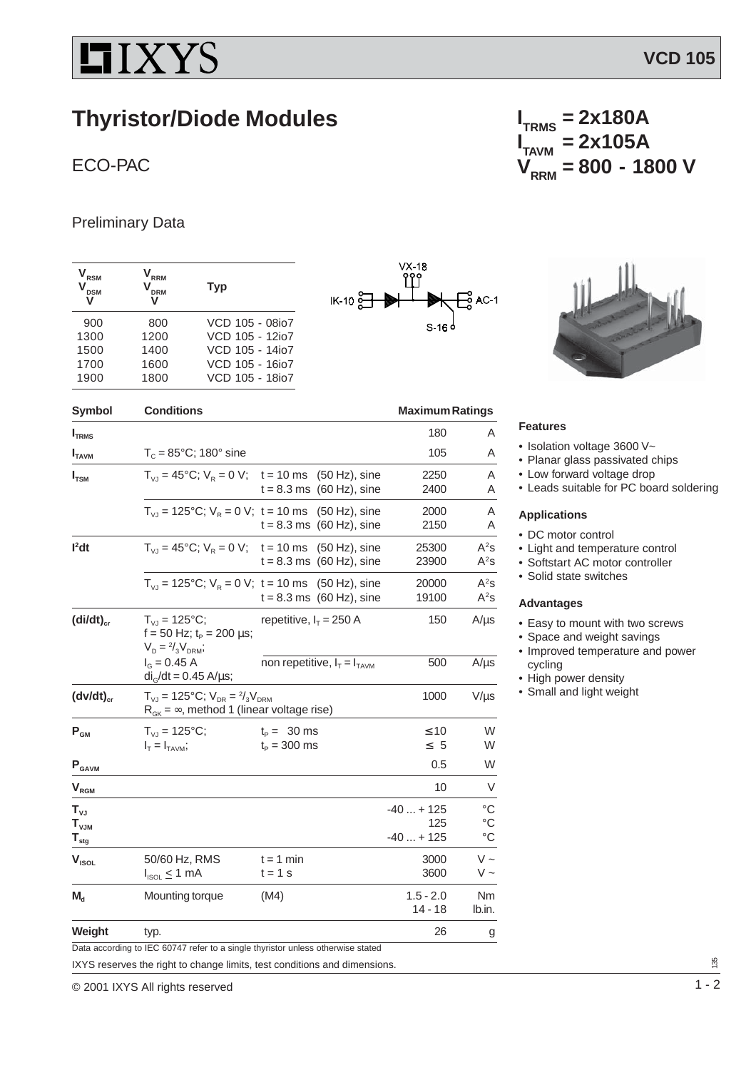# **HIXYS**

### **Thyristor/Diode Modules**

ECO-PAC

### Preliminary Data

| <b>RSM</b><br><b>DSM</b> | <b>RRM</b><br><b>DRM</b> | <b>Typ</b>      |
|--------------------------|--------------------------|-----------------|
| 900                      | 800                      | VCD 105 - 08io7 |
| 1300                     | 1200                     | VCD 105 - 12io7 |
| 1500                     | 1400                     | VCD 105 - 14io7 |
| 1700                     | 1600                     | VCD 105 - 16io7 |
| 1900                     | 1800                     | VCD 105 - 18io7 |





| <b>Symbol</b>                                                 | <b>Conditions</b>                                                                                |                                                                                                        |                                   | <b>Maximum Ratings</b>                      |  |
|---------------------------------------------------------------|--------------------------------------------------------------------------------------------------|--------------------------------------------------------------------------------------------------------|-----------------------------------|---------------------------------------------|--|
| $I_{TRMS}$                                                    |                                                                                                  |                                                                                                        | 180                               | A                                           |  |
| I <sub>TAVM</sub>                                             | $T_c = 85^{\circ}$ C; 180° sine                                                                  |                                                                                                        | 105                               | A                                           |  |
| $I_{TSM}$                                                     |                                                                                                  | $T_{V,I} = 45^{\circ}C$ ; $V_R = 0$ V; t = 10 ms (50 Hz), sine<br>$t = 8.3$ ms $(60$ Hz), sine         | 2250<br>2400                      | A<br>Α                                      |  |
|                                                               |                                                                                                  | $T_{V,I}$ = 125°C; V <sub>R</sub> = 0 V; t = 10 ms (50 Hz), sine<br>$t = 8.3$ ms (60 Hz), sine         | 2000<br>2150                      | Α<br>A                                      |  |
| l <sup>2</sup> dt                                             |                                                                                                  | $T_{V1} = 45^{\circ}$ C; $V_B = 0$ V; t = 10 ms (50 Hz), sine<br>$t = 8.3$ ms $(60$ Hz), sine          | 25300<br>23900                    | $A^2S$<br>$A^2s$                            |  |
|                                                               |                                                                                                  | $T_{VJ}$ = 125°C; $V_R$ = 0 V; t = 10 ms (50 Hz), sine<br>$t = 8.3$ ms $(60$ Hz), sine                 | 20000<br>19100                    | $A^2S$<br>$A^2s$                            |  |
| $(dil/dt)_{cr}$                                               | $T_{VJ} = 125^{\circ}C$ ;<br>$f = 50$ Hz; $t_p = 200$ $\mu s$ ;<br>$V_{D} = \frac{2}{3} V_{DRM}$ | repetitive, $I_T = 250$ A                                                                              | 150                               | $A/\mu s$                                   |  |
|                                                               | $I_G = 0.45 A$<br>$di_G/dt = 0.45$ A/ $\mu$ s;                                                   | non repetitive, $I_T = I_{TAVM}$                                                                       | 500                               | $A/\mu s$                                   |  |
| $(dv/dt)_{cr}$                                                |                                                                                                  | $T_{VJ} = 125$ °C; $V_{DR} = \frac{2}{3}V_{DRM}$<br>$R_{GK} = \infty$ , method 1 (linear voltage rise) |                                   | $V/\mu s$                                   |  |
| $P_{GM}$                                                      | $T_{VJ} = 125^{\circ}C$ ;<br>$I_T = I_{TAVM};$                                                   | $t_{\rm p} = 30 \text{ ms}$<br>$t_{\rm p} = 300 \text{ ms}$                                            | $\leq 10$<br>$\leq 5$             | W<br>W                                      |  |
| P <sub>GAVM</sub>                                             |                                                                                                  |                                                                                                        | 0.5                               | W                                           |  |
| $\mathbf{V}_{\texttt{RGM}}$                                   |                                                                                                  |                                                                                                        | 10                                | $\vee$                                      |  |
| $T_{VJ}$<br>$T_{\nu\text{JM}}$<br>$\textsf{T}_{\textsf{stg}}$ |                                                                                                  |                                                                                                        | $-40 + 125$<br>125<br>$-40 + 125$ | $^{\circ}C$<br>$^{\circ}$ C<br>$^{\circ}$ C |  |
| $V_{ISOL}$                                                    | 50/60 Hz, RMS<br>$I_{ISOL} \leq 1$ mA                                                            | $t = 1$ min<br>$t = 1$ s                                                                               | 3000<br>3600                      | $V \sim$<br>$V \sim$                        |  |
| $M_{\rm d}$                                                   | Mounting torque                                                                                  | (M4)                                                                                                   | $1.5 - 2.0$<br>$14 - 18$          | <b>Nm</b><br>lb.in.                         |  |
| Weight                                                        | typ.                                                                                             |                                                                                                        | 26                                | g                                           |  |

Data according to IEC 60747 refer to a single thyristor unless otherwise stated

IXYS reserves the right to change limits, test conditions and dimensions.

© 2001 IXYS All rights reserved 1 - 2

#### **Features**

• Isolation voltage 3600 V~

**I TRMS = 2x180A I TAVM = 2x105A**

 $V_{RRM}$  = 800 - 1800 V

- Planar glass passivated chips
- Low forward voltage drop
- Leads suitable for PC board soldering

#### **Applications**

- DC motor control
- Light and temperature control
- Softstart AC motor controller
- Solid state switches

#### **Advantages**

- Easy to mount with two screws
- Space and weight savings
- Improved temperature and power cycling
- High power density
- Small and light weight